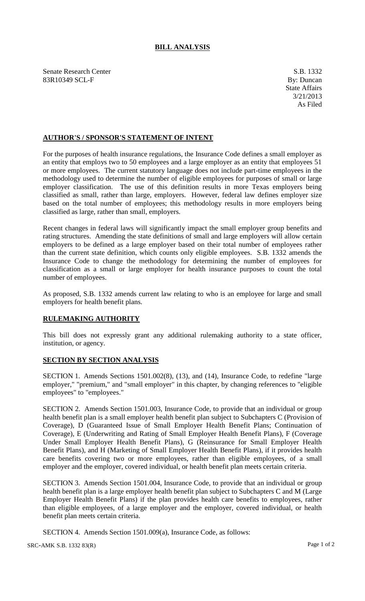## **BILL ANALYSIS**

Senate Research Center S.B. 1332 83R10349 SCL-F By: Duncan

## **AUTHOR'S / SPONSOR'S STATEMENT OF INTENT**

For the purposes of health insurance regulations, the Insurance Code defines a small employer as an entity that employs two to 50 employees and a large employer as an entity that employees 51 or more employees. The current statutory language does not include part-time employees in the methodology used to determine the number of eligible employees for purposes of small or large employer classification. The use of this definition results in more Texas employers being classified as small, rather than large, employers. However, federal law defines employer size based on the total number of employees; this methodology results in more employers being classified as large, rather than small, employers.

Recent changes in federal laws will significantly impact the small employer group benefits and rating structures. Amending the state definitions of small and large employers will allow certain employers to be defined as a large employer based on their total number of employees rather than the current state definition, which counts only eligible employees. S.B. 1332 amends the Insurance Code to change the methodology for determining the number of employees for classification as a small or large employer for health insurance purposes to count the total number of employees.

As proposed, S.B. 1332 amends current law relating to who is an employee for large and small employers for health benefit plans.

## **RULEMAKING AUTHORITY**

This bill does not expressly grant any additional rulemaking authority to a state officer, institution, or agency.

## **SECTION BY SECTION ANALYSIS**

SECTION 1. Amends Sections 1501.002(8), (13), and (14), Insurance Code, to redefine "large employer," "premium," and "small employer" in this chapter, by changing references to "eligible employees" to "employees."

SECTION 2. Amends Section 1501.003, Insurance Code, to provide that an individual or group health benefit plan is a small employer health benefit plan subject to Subchapters C (Provision of Coverage), D (Guaranteed Issue of Small Employer Health Benefit Plans; Continuation of Coverage), E (Underwriting and Rating of Small Employer Health Benefit Plans), F (Coverage Under Small Employer Health Benefit Plans), G (Reinsurance for Small Employer Health Benefit Plans), and H (Marketing of Small Employer Health Benefit Plans), if it provides health care benefits covering two or more employees, rather than eligible employees, of a small employer and the employer, covered individual, or health benefit plan meets certain criteria.

SECTION 3. Amends Section 1501.004, Insurance Code, to provide that an individual or group health benefit plan is a large employer health benefit plan subject to Subchapters C and M (Large Employer Health Benefit Plans) if the plan provides health care benefits to employees, rather than eligible employees, of a large employer and the employer, covered individual, or health benefit plan meets certain criteria.

SECTION 4. Amends Section 1501.009(a), Insurance Code, as follows:

SRC-AMK S.B. 1332 83(R) Page 1 of 2